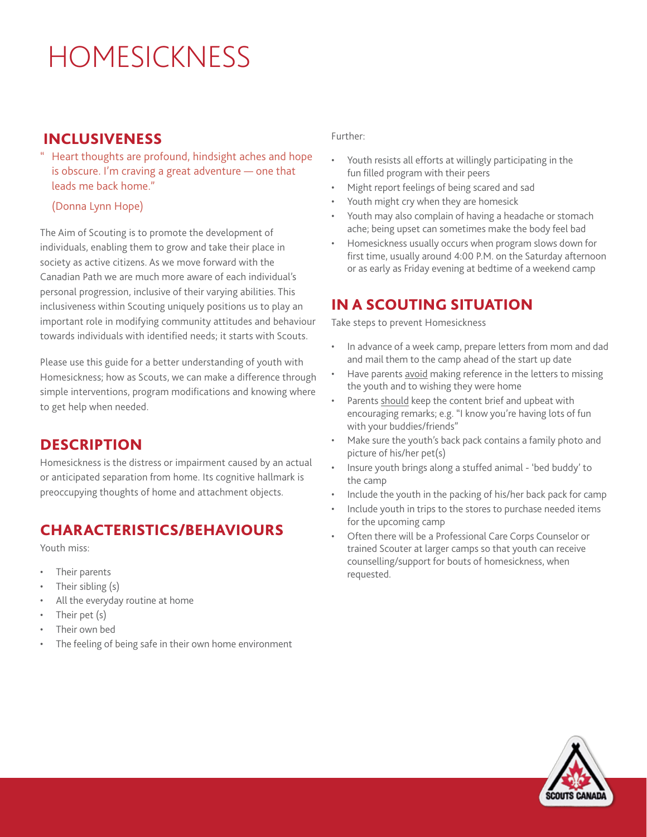# HOMESICKNESS

### INCLUSIVENESS

Heart thoughts are profound, hindsight aches and hope is obscure. I'm craving a great adventure — one that leads me back home."

(Donna Lynn Hope)

The Aim of Scouting is to promote the development of individuals, enabling them to grow and take their place in society as active citizens. As we move forward with the Canadian Path we are much more aware of each individual's personal progression, inclusive of their varying abilities. This inclusiveness within Scouting uniquely positions us to play an important role in modifying community attitudes and behaviour towards individuals with identified needs; it starts with Scouts.

Please use this guide for a better understanding of youth with Homesickness; how as Scouts, we can make a difference through simple interventions, program modifications and knowing where to get help when needed.

## **DESCRIPTION**

Homesickness is the distress or impairment caused by an actual or anticipated separation from home. Its cognitive hallmark is preoccupying thoughts of home and attachment objects.

# CHARACTERISTICS/BEHAVIOURS

Youth miss:

- Their parents
- Their sibling (s)
- All the everyday routine at home
- Their pet (s)
- Their own bed
- The feeling of being safe in their own home environment

#### Further:

- Youth resists all efforts at willingly participating in the fun filled program with their peers
- Might report feelings of being scared and sad
- Youth might cry when they are homesick
- Youth may also complain of having a headache or stomach ache; being upset can sometimes make the body feel bad
- Homesickness usually occurs when program slows down for first time, usually around 4:00 P.M. on the Saturday afternoon or as early as Friday evening at bedtime of a weekend camp

# IN A SCOUTING SITUATION

Take steps to prevent Homesickness

- In advance of a week camp, prepare letters from mom and dad and mail them to the camp ahead of the start up date
- Have parents avoid making reference in the letters to missing the youth and to wishing they were home
- Parents should keep the content brief and upbeat with encouraging remarks; e.g. "I know you're having lots of fun with your buddies/friends"
- Make sure the youth's back pack contains a family photo and picture of his/her pet(s)
- Insure youth brings along a stuffed animal 'bed buddy' to the camp
- Include the youth in the packing of his/her back pack for camp
- Include youth in trips to the stores to purchase needed items for the upcoming camp
- Often there will be a Professional Care Corps Counselor or trained Scouter at larger camps so that youth can receive counselling/support for bouts of homesickness, when requested.